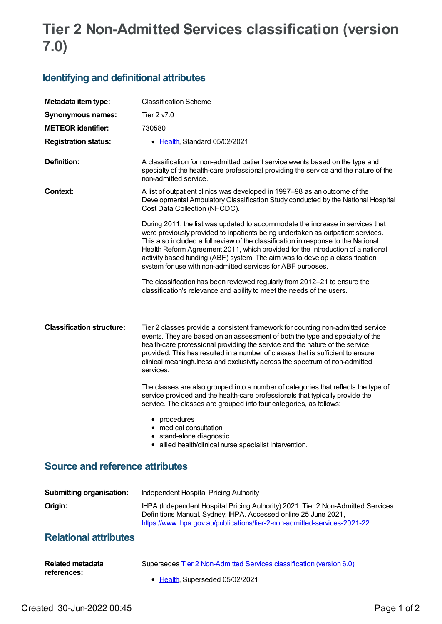## **Tier 2 Non-Admitted Services classification (version 7.0)**

## **Identifying and definitional attributes**

| Metadata item type:              | <b>Classification Scheme</b>                                                                                                                                                                                                                                                                                                                                                                                                                                                              |
|----------------------------------|-------------------------------------------------------------------------------------------------------------------------------------------------------------------------------------------------------------------------------------------------------------------------------------------------------------------------------------------------------------------------------------------------------------------------------------------------------------------------------------------|
| <b>Synonymous names:</b>         | Tier 2 v7.0                                                                                                                                                                                                                                                                                                                                                                                                                                                                               |
| <b>METEOR identifier:</b>        | 730580                                                                                                                                                                                                                                                                                                                                                                                                                                                                                    |
| <b>Registration status:</b>      | • Health, Standard 05/02/2021                                                                                                                                                                                                                                                                                                                                                                                                                                                             |
| Definition:                      | A classification for non-admitted patient service events based on the type and<br>specialty of the health-care professional providing the service and the nature of the<br>non-admitted service.                                                                                                                                                                                                                                                                                          |
| Context:                         | A list of outpatient clinics was developed in 1997–98 as an outcome of the<br>Developmental Ambulatory Classification Study conducted by the National Hospital<br>Cost Data Collection (NHCDC).                                                                                                                                                                                                                                                                                           |
|                                  | During 2011, the list was updated to accommodate the increase in services that<br>were previously provided to inpatients being undertaken as outpatient services.<br>This also included a full review of the classification in response to the National<br>Health Reform Agreement 2011, which provided for the introduction of a national<br>activity based funding (ABF) system. The aim was to develop a classification<br>system for use with non-admitted services for ABF purposes. |
|                                  | The classification has been reviewed regularly from 2012-21 to ensure the<br>classification's relevance and ability to meet the needs of the users.                                                                                                                                                                                                                                                                                                                                       |
| <b>Classification structure:</b> | Tier 2 classes provide a consistent framework for counting non-admitted service<br>events. They are based on an assessment of both the type and specialty of the<br>health-care professional providing the service and the nature of the service<br>provided. This has resulted in a number of classes that is sufficient to ensure<br>clinical meaningfulness and exclusivity across the spectrum of non-admitted<br>services.                                                           |
|                                  | The classes are also grouped into a number of categories that reflects the type of<br>service provided and the health-care professionals that typically provide the<br>service. The classes are grouped into four categories, as follows:                                                                                                                                                                                                                                                 |
|                                  | • procedures<br>• medical consultation<br>• stand-alone diagnostic<br>• allied health/clinical nurse specialist intervention.                                                                                                                                                                                                                                                                                                                                                             |

## **Source and reference attributes**

| <b>Submitting organisation:</b> | Independent Hospital Pricing Authority                                                                                                                                                                                           |
|---------------------------------|----------------------------------------------------------------------------------------------------------------------------------------------------------------------------------------------------------------------------------|
| Origin:                         | IHPA (Independent Hospital Pricing Authority) 2021. Tier 2 Non-Admitted Services<br>Definitions Manual. Sydney: IHPA. Accessed online 25 June 2021,<br>https://www.ihpa.gov.au/publications/tier-2-non-admitted-services-2021-22 |

## **Relational attributes**

| <b>Related metadata</b> | Supersedes Tier 2 Non-Admitted Services classification (version 6.0) |
|-------------------------|----------------------------------------------------------------------|
| references:             | • Health. Superseded 05/02/2021                                      |